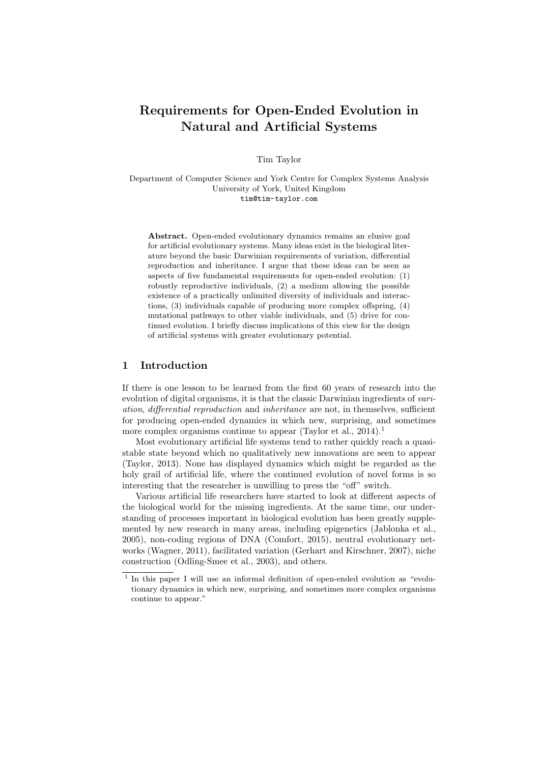# Requirements for Open-Ended Evolution in Natural and Artificial Systems

Tim Taylor

Department of Computer Science and York Centre for Complex Systems Analysis University of York, United Kingdom tim@tim-taylor.com

Abstract. Open-ended evolutionary dynamics remains an elusive goal for artificial evolutionary systems. Many ideas exist in the biological literature beyond the basic Darwinian requirements of variation, differential reproduction and inheritance. I argue that these ideas can be seen as aspects of five fundamental requirements for open-ended evolution: (1) robustly reproductive individuals, (2) a medium allowing the possible existence of a practically unlimited diversity of individuals and interactions, (3) individuals capable of producing more complex offspring, (4) mutational pathways to other viable individuals, and (5) drive for continued evolution. I briefly discuss implications of this view for the design of artificial systems with greater evolutionary potential.

# 1 Introduction

If there is one lesson to be learned from the first 60 years of research into the evolution of digital organisms, it is that the classic Darwinian ingredients of *vari*ation, differential reproduction and inheritance are not, in themselves, sufficient for producing open-ended dynamics in which new, surprising, and sometimes more complex organisms continue to appear (Taylor et al.,  $2014$ ).<sup>1</sup>

Most evolutionary artificial life systems tend to rather quickly reach a quasistable state beyond which no qualitatively new innovations are seen to appear (Taylor, 2013). None has displayed dynamics which might be regarded as the holy grail of artificial life, where the continued evolution of novel forms is so interesting that the researcher is unwilling to press the "off" switch.

Various artificial life researchers have started to look at different aspects of the biological world for the missing ingredients. At the same time, our understanding of processes important in biological evolution has been greatly supplemented by new research in many areas, including epigenetics (Jablonka et al., 2005), non-coding regions of DNA (Comfort, 2015), neutral evolutionary networks (Wagner, 2011), facilitated variation (Gerhart and Kirschner, 2007), niche construction (Odling-Smee et al., 2003), and others.

<sup>&</sup>lt;sup>1</sup> In this paper I will use an informal definition of open-ended evolution as "evolutionary dynamics in which new, surprising, and sometimes more complex organisms continue to appear."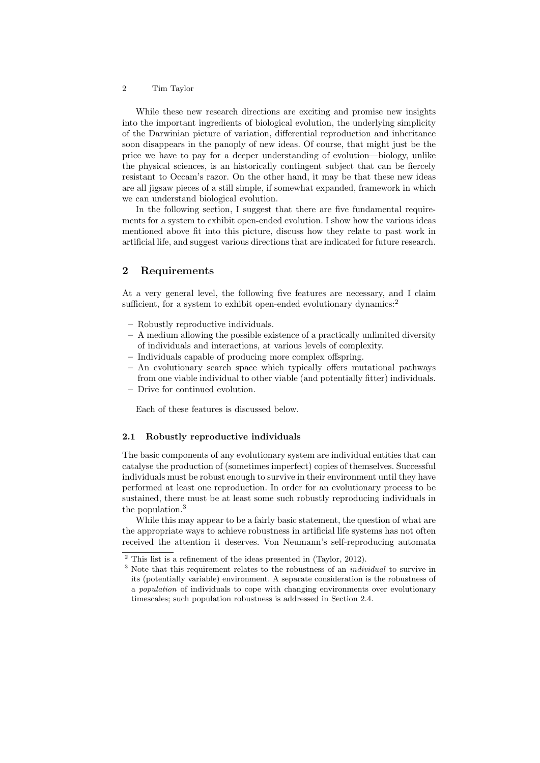While these new research directions are exciting and promise new insights into the important ingredients of biological evolution, the underlying simplicity of the Darwinian picture of variation, differential reproduction and inheritance soon disappears in the panoply of new ideas. Of course, that might just be the price we have to pay for a deeper understanding of evolution—biology, unlike the physical sciences, is an historically contingent subject that can be fiercely resistant to Occam's razor. On the other hand, it may be that these new ideas are all jigsaw pieces of a still simple, if somewhat expanded, framework in which we can understand biological evolution.

In the following section, I suggest that there are five fundamental requirements for a system to exhibit open-ended evolution. I show how the various ideas mentioned above fit into this picture, discuss how they relate to past work in artificial life, and suggest various directions that are indicated for future research.

# 2 Requirements

At a very general level, the following five features are necessary, and I claim sufficient, for a system to exhibit open-ended evolutionary dynamics:<sup>2</sup>

- Robustly reproductive individuals.
- A medium allowing the possible existence of a practically unlimited diversity of individuals and interactions, at various levels of complexity.
- Individuals capable of producing more complex offspring.
- An evolutionary search space which typically offers mutational pathways from one viable individual to other viable (and potentially fitter) individuals.
- Drive for continued evolution.

Each of these features is discussed below.

#### 2.1 Robustly reproductive individuals

The basic components of any evolutionary system are individual entities that can catalyse the production of (sometimes imperfect) copies of themselves. Successful individuals must be robust enough to survive in their environment until they have performed at least one reproduction. In order for an evolutionary process to be sustained, there must be at least some such robustly reproducing individuals in the population.<sup>3</sup>

While this may appear to be a fairly basic statement, the question of what are the appropriate ways to achieve robustness in artificial life systems has not often received the attention it deserves. Von Neumann's self-reproducing automata

<sup>&</sup>lt;sup>2</sup> This list is a refinement of the ideas presented in (Taylor, 2012).

<sup>&</sup>lt;sup>3</sup> Note that this requirement relates to the robustness of an *individual* to survive in its (potentially variable) environment. A separate consideration is the robustness of a population of individuals to cope with changing environments over evolutionary timescales; such population robustness is addressed in Section 2.4.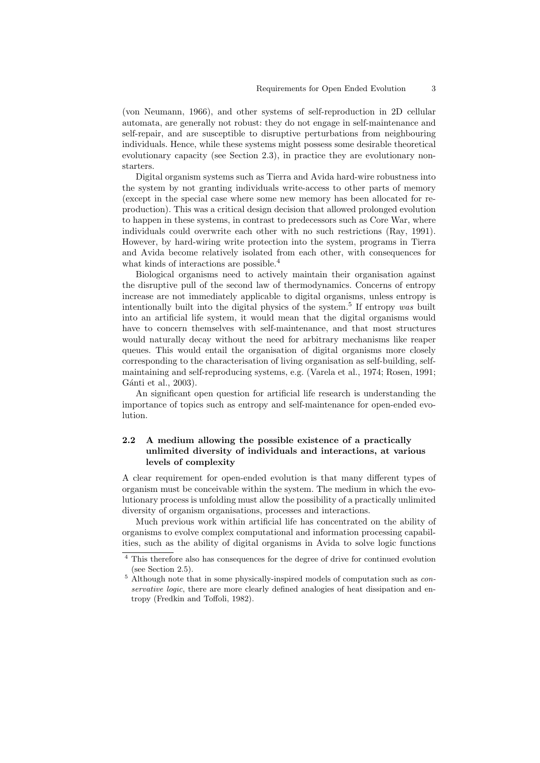(von Neumann, 1966), and other systems of self-reproduction in 2D cellular automata, are generally not robust: they do not engage in self-maintenance and self-repair, and are susceptible to disruptive perturbations from neighbouring individuals. Hence, while these systems might possess some desirable theoretical evolutionary capacity (see Section 2.3), in practice they are evolutionary nonstarters.

Digital organism systems such as Tierra and Avida hard-wire robustness into the system by not granting individuals write-access to other parts of memory (except in the special case where some new memory has been allocated for reproduction). This was a critical design decision that allowed prolonged evolution to happen in these systems, in contrast to predecessors such as Core War, where individuals could overwrite each other with no such restrictions (Ray, 1991). However, by hard-wiring write protection into the system, programs in Tierra and Avida become relatively isolated from each other, with consequences for what kinds of interactions are possible.<sup>4</sup>

Biological organisms need to actively maintain their organisation against the disruptive pull of the second law of thermodynamics. Concerns of entropy increase are not immediately applicable to digital organisms, unless entropy is intentionally built into the digital physics of the system.<sup>5</sup> If entropy was built into an artificial life system, it would mean that the digital organisms would have to concern themselves with self-maintenance, and that most structures would naturally decay without the need for arbitrary mechanisms like reaper queues. This would entail the organisation of digital organisms more closely corresponding to the characterisation of living organisation as self-building, selfmaintaining and self-reproducing systems, e.g. (Varela et al., 1974; Rosen, 1991; Gánti et al., 2003).

An significant open question for artificial life research is understanding the importance of topics such as entropy and self-maintenance for open-ended evolution.

# 2.2 A medium allowing the possible existence of a practically unlimited diversity of individuals and interactions, at various levels of complexity

A clear requirement for open-ended evolution is that many different types of organism must be conceivable within the system. The medium in which the evolutionary process is unfolding must allow the possibility of a practically unlimited diversity of organism organisations, processes and interactions.

Much previous work within artificial life has concentrated on the ability of organisms to evolve complex computational and information processing capabilities, such as the ability of digital organisms in Avida to solve logic functions

 $^4$  This therefore also has consequences for the degree of drive for continued evolution (see Section 2.5).

 $5$  Although note that in some physically-inspired models of computation such as *con*servative logic, there are more clearly defined analogies of heat dissipation and entropy (Fredkin and Toffoli, 1982).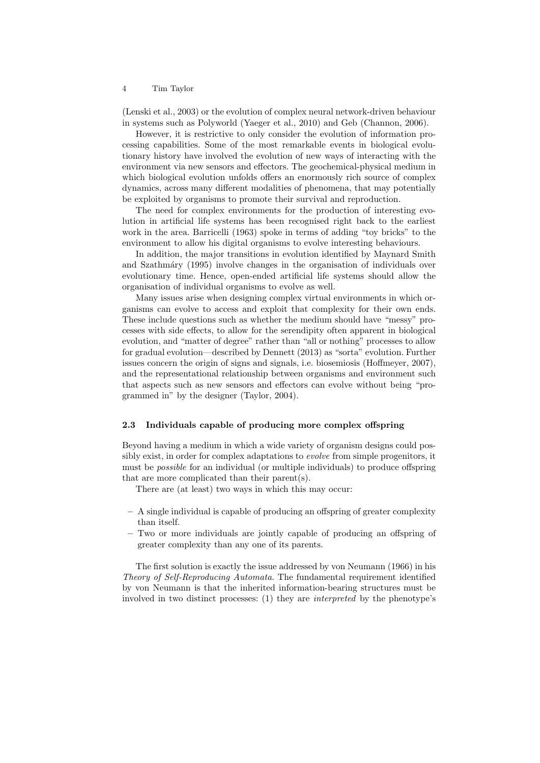(Lenski et al., 2003) or the evolution of complex neural network-driven behaviour in systems such as Polyworld (Yaeger et al., 2010) and Geb (Channon, 2006).

However, it is restrictive to only consider the evolution of information processing capabilities. Some of the most remarkable events in biological evolutionary history have involved the evolution of new ways of interacting with the environment via new sensors and effectors. The geochemical-physical medium in which biological evolution unfolds offers an enormously rich source of complex dynamics, across many different modalities of phenomena, that may potentially be exploited by organisms to promote their survival and reproduction.

The need for complex environments for the production of interesting evolution in artificial life systems has been recognised right back to the earliest work in the area. Barricelli (1963) spoke in terms of adding "toy bricks" to the environment to allow his digital organisms to evolve interesting behaviours.

In addition, the major transitions in evolution identified by Maynard Smith and Szathm´ary (1995) involve changes in the organisation of individuals over evolutionary time. Hence, open-ended artificial life systems should allow the organisation of individual organisms to evolve as well.

Many issues arise when designing complex virtual environments in which organisms can evolve to access and exploit that complexity for their own ends. These include questions such as whether the medium should have "messy" processes with side effects, to allow for the serendipity often apparent in biological evolution, and "matter of degree" rather than "all or nothing" processes to allow for gradual evolution—described by Dennett (2013) as "sorta" evolution. Further issues concern the origin of signs and signals, i.e. biosemiosis (Hoffmeyer, 2007), and the representational relationship between organisms and environment such that aspects such as new sensors and effectors can evolve without being "programmed in" by the designer (Taylor, 2004).

## 2.3 Individuals capable of producing more complex offspring

Beyond having a medium in which a wide variety of organism designs could possibly exist, in order for complex adaptations to *evolve* from simple progenitors, it must be possible for an individual (or multiple individuals) to produce offspring that are more complicated than their parent(s).

There are (at least) two ways in which this may occur:

- A single individual is capable of producing an offspring of greater complexity than itself.
- Two or more individuals are jointly capable of producing an offspring of greater complexity than any one of its parents.

The first solution is exactly the issue addressed by von Neumann (1966) in his Theory of Self-Reproducing Automata. The fundamental requirement identified by von Neumann is that the inherited information-bearing structures must be involved in two distinct processes: (1) they are interpreted by the phenotype's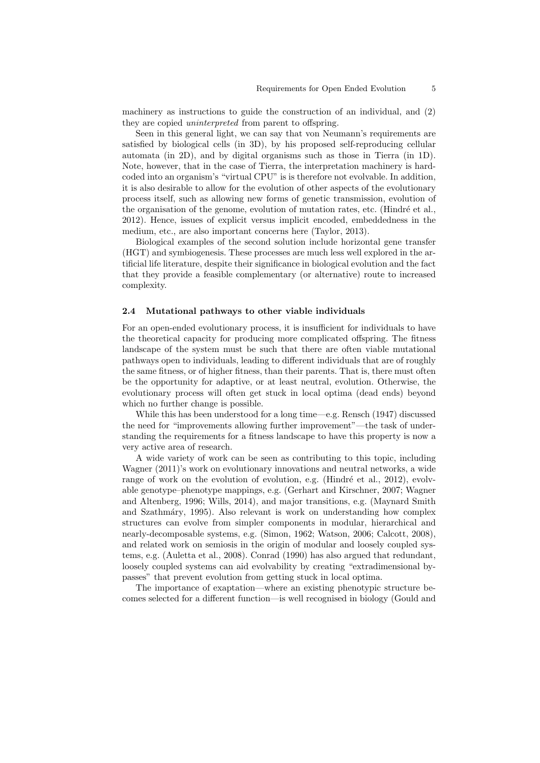machinery as instructions to guide the construction of an individual, and (2) they are copied uninterpreted from parent to offspring.

Seen in this general light, we can say that von Neumann's requirements are satisfied by biological cells (in 3D), by his proposed self-reproducing cellular automata (in 2D), and by digital organisms such as those in Tierra (in 1D). Note, however, that in the case of Tierra, the interpretation machinery is hardcoded into an organism's "virtual CPU" is is therefore not evolvable. In addition, it is also desirable to allow for the evolution of other aspects of the evolutionary process itself, such as allowing new forms of genetic transmission, evolution of the organisation of the genome, evolution of mutation rates, etc. (Hindré et al., 2012). Hence, issues of explicit versus implicit encoded, embeddedness in the medium, etc., are also important concerns here (Taylor, 2013).

Biological examples of the second solution include horizontal gene transfer (HGT) and symbiogenesis. These processes are much less well explored in the artificial life literature, despite their significance in biological evolution and the fact that they provide a feasible complementary (or alternative) route to increased complexity.

#### 2.4 Mutational pathways to other viable individuals

For an open-ended evolutionary process, it is insufficient for individuals to have the theoretical capacity for producing more complicated offspring. The fitness landscape of the system must be such that there are often viable mutational pathways open to individuals, leading to different individuals that are of roughly the same fitness, or of higher fitness, than their parents. That is, there must often be the opportunity for adaptive, or at least neutral, evolution. Otherwise, the evolutionary process will often get stuck in local optima (dead ends) beyond which no further change is possible.

While this has been understood for a long time—e.g. Rensch (1947) discussed the need for "improvements allowing further improvement"—the task of understanding the requirements for a fitness landscape to have this property is now a very active area of research.

A wide variety of work can be seen as contributing to this topic, including Wagner (2011)'s work on evolutionary innovations and neutral networks, a wide range of work on the evolution of evolution, e.g. (Hindré et al., 2012), evolvable genotype–phenotype mappings, e.g. (Gerhart and Kirschner, 2007; Wagner and Altenberg, 1996; Wills, 2014), and major transitions, e.g. (Maynard Smith and Szathm´ary, 1995). Also relevant is work on understanding how complex structures can evolve from simpler components in modular, hierarchical and nearly-decomposable systems, e.g. (Simon, 1962; Watson, 2006; Calcott, 2008), and related work on semiosis in the origin of modular and loosely coupled systems, e.g. (Auletta et al., 2008). Conrad (1990) has also argued that redundant, loosely coupled systems can aid evolvability by creating "extradimensional bypasses" that prevent evolution from getting stuck in local optima.

The importance of exaptation—where an existing phenotypic structure becomes selected for a different function—is well recognised in biology (Gould and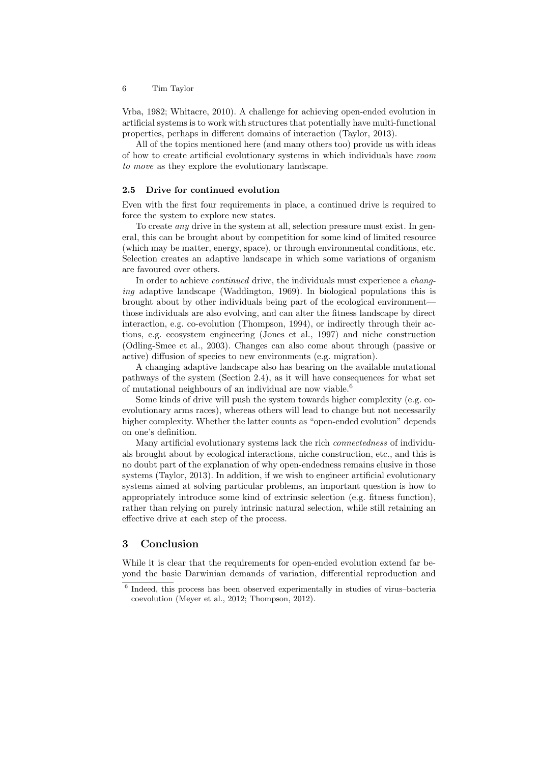Vrba, 1982; Whitacre, 2010). A challenge for achieving open-ended evolution in artificial systems is to work with structures that potentially have multi-functional properties, perhaps in different domains of interaction (Taylor, 2013).

All of the topics mentioned here (and many others too) provide us with ideas of how to create artificial evolutionary systems in which individuals have room to move as they explore the evolutionary landscape.

#### 2.5 Drive for continued evolution

Even with the first four requirements in place, a continued drive is required to force the system to explore new states.

To create any drive in the system at all, selection pressure must exist. In general, this can be brought about by competition for some kind of limited resource (which may be matter, energy, space), or through environmental conditions, etc. Selection creates an adaptive landscape in which some variations of organism are favoured over others.

In order to achieve *continued* drive, the individuals must experience a *chang*ing adaptive landscape (Waddington, 1969). In biological populations this is brought about by other individuals being part of the ecological environment those individuals are also evolving, and can alter the fitness landscape by direct interaction, e.g. co-evolution (Thompson, 1994), or indirectly through their actions, e.g. ecosystem engineering (Jones et al., 1997) and niche construction (Odling-Smee et al., 2003). Changes can also come about through (passive or active) diffusion of species to new environments (e.g. migration).

A changing adaptive landscape also has bearing on the available mutational pathways of the system (Section 2.4), as it will have consequences for what set of mutational neighbours of an individual are now viable.<sup>6</sup>

Some kinds of drive will push the system towards higher complexity (e.g. coevolutionary arms races), whereas others will lead to change but not necessarily higher complexity. Whether the latter counts as "open-ended evolution" depends on one's definition.

Many artificial evolutionary systems lack the rich connectedness of individuals brought about by ecological interactions, niche construction, etc., and this is no doubt part of the explanation of why open-endedness remains elusive in those systems (Taylor, 2013). In addition, if we wish to engineer artificial evolutionary systems aimed at solving particular problems, an important question is how to appropriately introduce some kind of extrinsic selection (e.g. fitness function), rather than relying on purely intrinsic natural selection, while still retaining an effective drive at each step of the process.

# 3 Conclusion

While it is clear that the requirements for open-ended evolution extend far beyond the basic Darwinian demands of variation, differential reproduction and

<sup>6</sup> Indeed, this process has been observed experimentally in studies of virus–bacteria coevolution (Meyer et al., 2012; Thompson, 2012).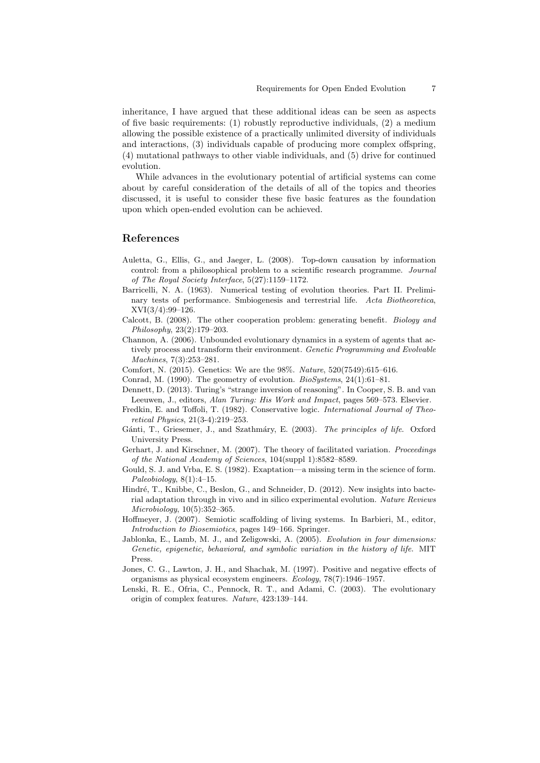inheritance, I have argued that these additional ideas can be seen as aspects of five basic requirements: (1) robustly reproductive individuals, (2) a medium allowing the possible existence of a practically unlimited diversity of individuals and interactions, (3) individuals capable of producing more complex offspring, (4) mutational pathways to other viable individuals, and (5) drive for continued evolution.

While advances in the evolutionary potential of artificial systems can come about by careful consideration of the details of all of the topics and theories discussed, it is useful to consider these five basic features as the foundation upon which open-ended evolution can be achieved.

## References

- Auletta, G., Ellis, G., and Jaeger, L. (2008). Top-down causation by information control: from a philosophical problem to a scientific research programme. Journal of The Royal Society Interface, 5(27):1159–1172.
- Barricelli, N. A. (1963). Numerical testing of evolution theories. Part II. Preliminary tests of performance. Smbiogenesis and terrestrial life. Acta Biotheoretica, XVI(3/4):99–126.
- Calcott, B. (2008). The other cooperation problem: generating benefit. Biology and Philosophy, 23(2):179–203.
- Channon, A. (2006). Unbounded evolutionary dynamics in a system of agents that actively process and transform their environment. Genetic Programming and Evolvable Machines, 7(3):253–281.
- Comfort, N. (2015). Genetics: We are the 98%. Nature, 520(7549):615–616.
- Conrad, M. (1990). The geometry of evolution. BioSystems, 24(1):61–81.
- Dennett, D. (2013). Turing's "strange inversion of reasoning". In Cooper, S. B. and van Leeuwen, J., editors, Alan Turing: His Work and Impact, pages 569–573. Elsevier.
- Fredkin, E. and Toffoli, T. (1982). Conservative logic. International Journal of Theoretical Physics, 21(3-4):219–253.
- Gánti, T., Griesemer, J., and Szathmáry, E. (2003). The principles of life. Oxford University Press.
- Gerhart, J. and Kirschner, M. (2007). The theory of facilitated variation. Proceedings of the National Academy of Sciences, 104(suppl 1):8582–8589.
- Gould, S. J. and Vrba, E. S. (1982). Exaptation—a missing term in the science of form.  $Paleobiology, 8(1):4–15.$
- Hindré, T., Knibbe, C., Beslon, G., and Schneider, D. (2012). New insights into bacterial adaptation through in vivo and in silico experimental evolution. Nature Reviews Microbiology, 10(5):352–365.
- Hoffmeyer, J. (2007). Semiotic scaffolding of living systems. In Barbieri, M., editor, Introduction to Biosemiotics, pages 149–166. Springer.
- Jablonka, E., Lamb, M. J., and Zeligowski, A. (2005). Evolution in four dimensions: Genetic, epigenetic, behavioral, and symbolic variation in the history of life. MIT Press.
- Jones, C. G., Lawton, J. H., and Shachak, M. (1997). Positive and negative effects of organisms as physical ecosystem engineers. Ecology, 78(7):1946–1957.
- Lenski, R. E., Ofria, C., Pennock, R. T., and Adami, C. (2003). The evolutionary origin of complex features. Nature, 423:139–144.